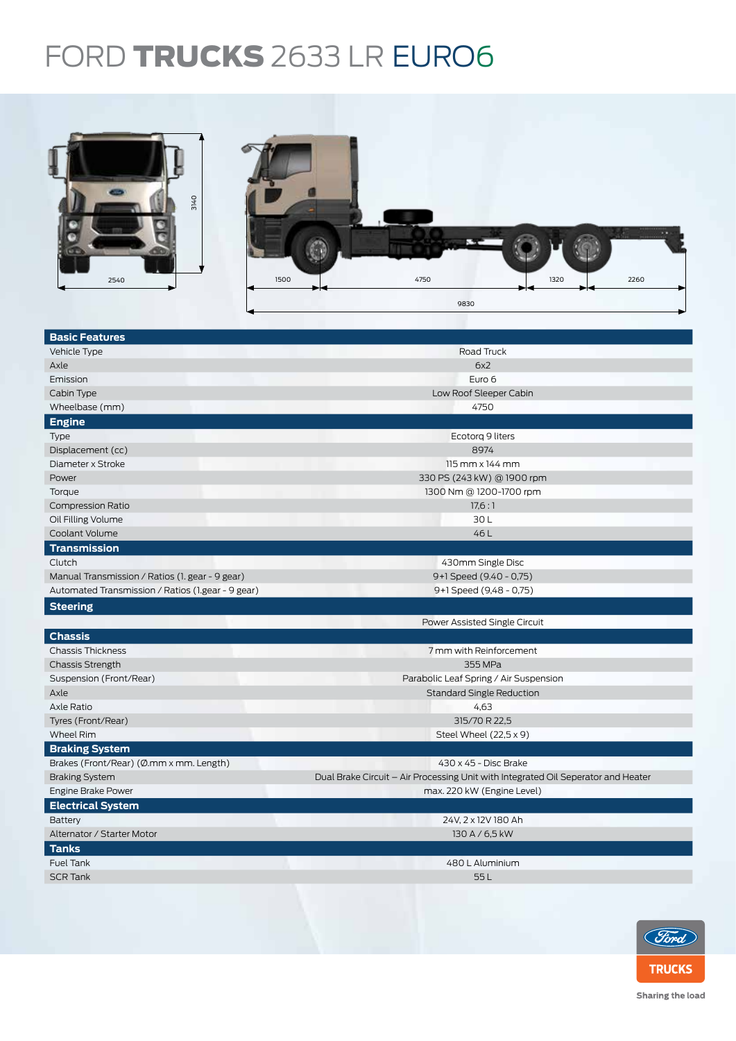## FORD TRUCKS 2633 LR EURO6



| <b>Basic Features</b>                             |                                                                                   |  |  |  |
|---------------------------------------------------|-----------------------------------------------------------------------------------|--|--|--|
| Vehicle Type                                      | Road Truck                                                                        |  |  |  |
| Axle                                              | 6x2                                                                               |  |  |  |
| Emission                                          | Euro 6                                                                            |  |  |  |
| Cabin Type                                        | Low Roof Sleeper Cabin                                                            |  |  |  |
| Wheelbase (mm)                                    | 4750                                                                              |  |  |  |
| <b>Engine</b>                                     |                                                                                   |  |  |  |
| <b>Type</b>                                       | Ecotorg 9 liters                                                                  |  |  |  |
| Displacement (cc)                                 | 8974                                                                              |  |  |  |
| Diameter x Stroke                                 | 115 mm x 144 mm                                                                   |  |  |  |
| Power                                             | 330 PS (243 kW) @ 1900 rpm                                                        |  |  |  |
| Torque                                            | 1300 Nm @ 1200-1700 rpm                                                           |  |  |  |
| <b>Compression Ratio</b>                          | 17,6:1                                                                            |  |  |  |
| Oil Filling Volume                                | 30L                                                                               |  |  |  |
| Coolant Volume                                    | 46 L                                                                              |  |  |  |
| <b>Transmission</b>                               |                                                                                   |  |  |  |
| Clutch                                            | 430mm Single Disc                                                                 |  |  |  |
| Manual Transmission / Ratios (1. gear - 9 gear)   | 9+1 Speed (9.40 - 0,75)                                                           |  |  |  |
| Automated Transmission / Ratios (1.gear - 9 gear) | 9+1 Speed (9,48 - 0,75)                                                           |  |  |  |
| <b>Steering</b>                                   |                                                                                   |  |  |  |
|                                                   | Power Assisted Single Circuit                                                     |  |  |  |
| <b>Chassis</b>                                    |                                                                                   |  |  |  |
| <b>Chassis Thickness</b>                          | 7 mm with Reinforcement                                                           |  |  |  |
| <b>Chassis Strength</b>                           | 355 MPa                                                                           |  |  |  |
| Suspension (Front/Rear)                           | Parabolic Leaf Spring / Air Suspension                                            |  |  |  |
| Axle                                              | <b>Standard Single Reduction</b>                                                  |  |  |  |
| Axle Ratio                                        | 4,63                                                                              |  |  |  |
| Tyres (Front/Rear)                                | 315/70 R 22,5                                                                     |  |  |  |
| Wheel Rim                                         | Steel Wheel $(22,5 \times 9)$                                                     |  |  |  |
| <b>Braking System</b>                             |                                                                                   |  |  |  |
| Brakes (Front/Rear) (Ø.mm x mm. Length)           | 430 x 45 - Disc Brake                                                             |  |  |  |
| <b>Braking System</b>                             | Dual Brake Circuit – Air Processing Unit with Integrated Oil Seperator and Heater |  |  |  |
| <b>Engine Brake Power</b>                         | max. 220 kW (Engine Level)                                                        |  |  |  |
| <b>Electrical System</b>                          |                                                                                   |  |  |  |
| Battery                                           | 24V, 2 x 12V 180 Ah                                                               |  |  |  |
| Alternator / Starter Motor                        | 130 A / 6,5 kW                                                                    |  |  |  |
| <b>Tanks</b>                                      |                                                                                   |  |  |  |
| <b>Fuel Tank</b>                                  | 480 L Aluminium                                                                   |  |  |  |
| <b>SCR Tank</b>                                   | 55L                                                                               |  |  |  |
|                                                   |                                                                                   |  |  |  |
|                                                   |                                                                                   |  |  |  |



Sharing the load